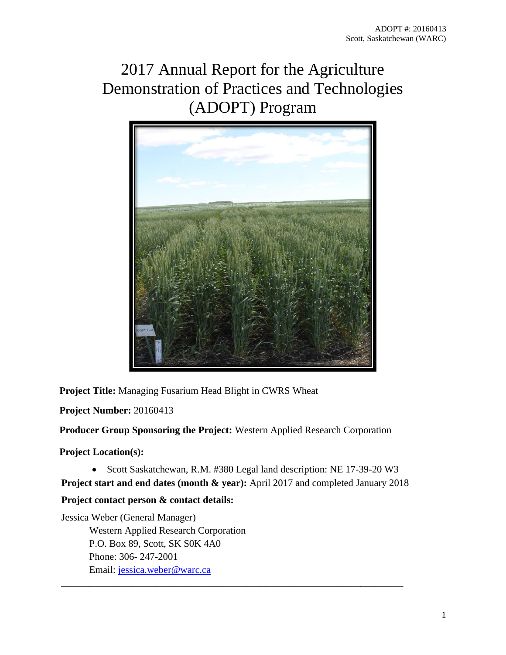# 2017 Annual Report for the Agriculture Demonstration of Practices and Technologies (ADOPT) Program



**Project Title:** Managing Fusarium Head Blight in CWRS Wheat

**Project Number:** 20160413

**Producer Group Sponsoring the Project:** Western Applied Research Corporation

**Project Location(s):**

• Scott Saskatchewan, R.M. #380 Legal land description: NE 17-39-20 W3

**Project start and end dates (month & year):** April 2017 and completed January 2018

\_\_\_\_\_\_\_\_\_\_\_\_\_\_\_\_\_\_\_\_\_\_\_\_\_\_\_\_\_\_\_\_\_\_\_\_\_\_\_\_\_\_\_\_\_\_\_\_\_\_\_\_\_\_\_\_\_\_\_\_\_\_\_\_\_\_\_\_\_\_\_\_

# **Project contact person & contact details:**

Jessica Weber (General Manager) Western Applied Research Corporation P.O. Box 89, Scott, SK S0K 4A0 Phone: 306- 247-2001 Email: [jessica.weber@warc.ca](mailto:jessica.weber@warc.ca)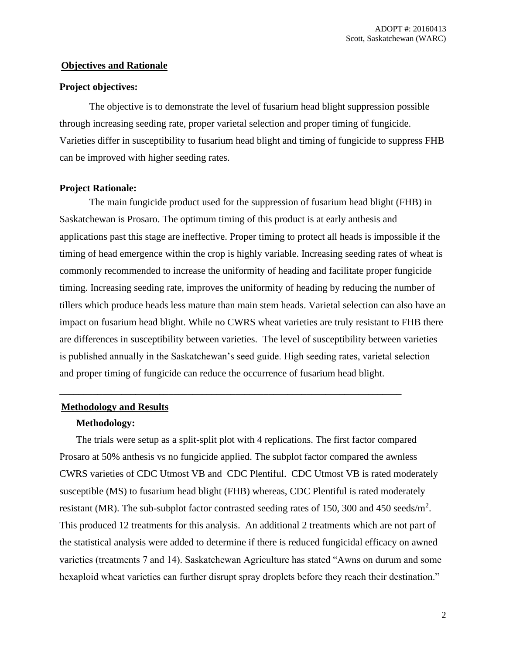## **Objectives and Rationale**

#### **Project objectives:**

The objective is to demonstrate the level of fusarium head blight suppression possible through increasing seeding rate, proper varietal selection and proper timing of fungicide. Varieties differ in susceptibility to fusarium head blight and timing of fungicide to suppress FHB can be improved with higher seeding rates.

### **Project Rationale:**

The main fungicide product used for the suppression of fusarium head blight (FHB) in Saskatchewan is Prosaro. The optimum timing of this product is at early anthesis and applications past this stage are ineffective. Proper timing to protect all heads is impossible if the timing of head emergence within the crop is highly variable. Increasing seeding rates of wheat is commonly recommended to increase the uniformity of heading and facilitate proper fungicide timing. Increasing seeding rate, improves the uniformity of heading by reducing the number of tillers which produce heads less mature than main stem heads. Varietal selection can also have an impact on fusarium head blight. While no CWRS wheat varieties are truly resistant to FHB there are differences in susceptibility between varieties. The level of susceptibility between varieties is published annually in the Saskatchewan's seed guide. High seeding rates, varietal selection and proper timing of fungicide can reduce the occurrence of fusarium head blight.

\_\_\_\_\_\_\_\_\_\_\_\_\_\_\_\_\_\_\_\_\_\_\_\_\_\_\_\_\_\_\_\_\_\_\_\_\_\_\_\_\_\_\_\_\_\_\_\_\_\_\_\_\_\_\_\_\_\_\_\_\_\_\_\_\_\_\_\_\_\_\_\_

#### **Methodology and Results**

#### **Methodology:**

The trials were setup as a split-split plot with 4 replications. The first factor compared Prosaro at 50% anthesis vs no fungicide applied. The subplot factor compared the awnless CWRS varieties of CDC Utmost VB and CDC Plentiful. CDC Utmost VB is rated moderately susceptible (MS) to fusarium head blight (FHB) whereas, CDC Plentiful is rated moderately resistant (MR). The sub-subplot factor contrasted seeding rates of 150, 300 and 450 seeds/ $m^2$ . This produced 12 treatments for this analysis. An additional 2 treatments which are not part of the statistical analysis were added to determine if there is reduced fungicidal efficacy on awned varieties (treatments 7 and 14). Saskatchewan Agriculture has stated "Awns on durum and some hexaploid wheat varieties can further disrupt spray droplets before they reach their destination."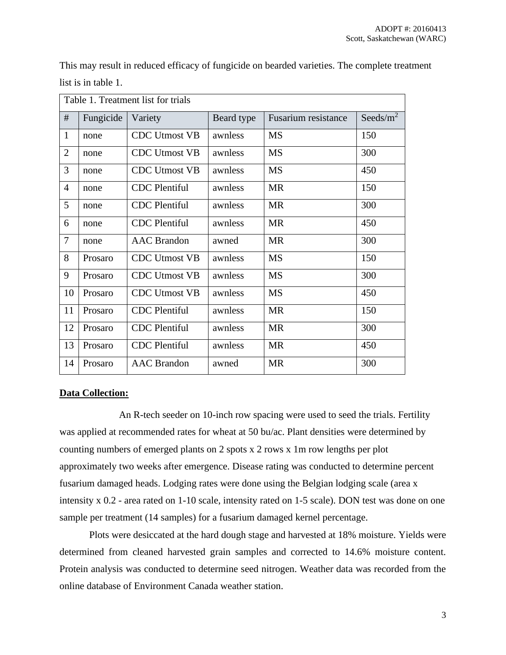| Table 1. Treatment list for trials |           |                      |            |                     |              |
|------------------------------------|-----------|----------------------|------------|---------------------|--------------|
| $\#$                               | Fungicide | Variety              | Beard type | Fusarium resistance | Seeds/ $m^2$ |
| $\mathbf{1}$                       | none      | <b>CDC Utmost VB</b> | awnless    | <b>MS</b>           | 150          |
| $\overline{2}$                     | none      | <b>CDC Utmost VB</b> | awnless    | <b>MS</b>           | 300          |
| 3                                  | none      | <b>CDC Utmost VB</b> | awnless    | <b>MS</b>           | 450          |
| $\overline{4}$                     | none      | <b>CDC</b> Plentiful | awnless    | <b>MR</b>           | 150          |
| 5                                  | none      | <b>CDC</b> Plentiful | awnless    | <b>MR</b>           | 300          |
| 6                                  | none      | <b>CDC</b> Plentiful | awnless    | <b>MR</b>           | 450          |
| $\overline{7}$                     | none      | <b>AAC</b> Brandon   | awned      | <b>MR</b>           | 300          |
| 8                                  | Prosaro   | <b>CDC Utmost VB</b> | awnless    | <b>MS</b>           | 150          |
| 9                                  | Prosaro   | <b>CDC Utmost VB</b> | awnless    | <b>MS</b>           | 300          |
| 10                                 | Prosaro   | <b>CDC Utmost VB</b> | awnless    | <b>MS</b>           | 450          |
| 11                                 | Prosaro   | <b>CDC</b> Plentiful | awnless    | <b>MR</b>           | 150          |
| 12                                 | Prosaro   | <b>CDC</b> Plentiful | awnless    | <b>MR</b>           | 300          |
| 13                                 | Prosaro   | <b>CDC</b> Plentiful | awnless    | <b>MR</b>           | 450          |
| 14                                 | Prosaro   | <b>AAC</b> Brandon   | awned      | <b>MR</b>           | 300          |

This may result in reduced efficacy of fungicide on bearded varieties. The complete treatment list is in table 1.

#### **Data Collection:**

An R-tech seeder on 10-inch row spacing were used to seed the trials. Fertility was applied at recommended rates for wheat at 50 bu/ac. Plant densities were determined by counting numbers of emerged plants on 2 spots x 2 rows x 1m row lengths per plot approximately two weeks after emergence. Disease rating was conducted to determine percent fusarium damaged heads. Lodging rates were done using the Belgian lodging scale (area x intensity x 0.2 - area rated on 1-10 scale, intensity rated on 1-5 scale). DON test was done on one sample per treatment (14 samples) for a fusarium damaged kernel percentage.

Plots were desiccated at the hard dough stage and harvested at 18% moisture. Yields were determined from cleaned harvested grain samples and corrected to 14.6% moisture content. Protein analysis was conducted to determine seed nitrogen. Weather data was recorded from the online database of Environment Canada weather station.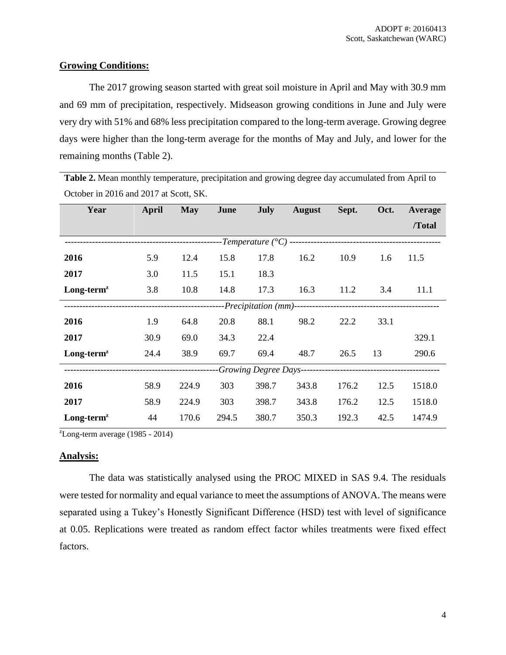## **Growing Conditions:**

The 2017 growing season started with great soil moisture in April and May with 30.9 mm and 69 mm of precipitation, respectively. Midseason growing conditions in June and July were very dry with 51% and 68% less precipitation compared to the long-term average. Growing degree days were higher than the long-term average for the months of May and July, and lower for the remaining months (Table 2).

**Table 2.** Mean monthly temperature, precipitation and growing degree day accumulated from April to October in 2016 and 2017 at Scott, SK.

| Year                                | April | <b>May</b> | June  | July  | <b>August</b> | Sept. | Oct. | Average |
|-------------------------------------|-------|------------|-------|-------|---------------|-------|------|---------|
|                                     |       |            |       |       |               |       |      | /Total  |
| ----------------------------------- |       |            |       |       |               |       |      |         |
| 2016                                | 5.9   | 12.4       | 15.8  | 17.8  | 16.2          | 10.9  | 1.6  | 11.5    |
| 2017                                | 3.0   | 11.5       | 15.1  | 18.3  |               |       |      |         |
| $Long-termz$                        | 3.8   | 10.8       | 14.8  | 17.3  | 16.3          | 11.2  | 3.4  | 11.1    |
|                                     |       |            |       |       |               |       |      |         |
| 2016                                | 1.9   | 64.8       | 20.8  | 88.1  | 98.2          | 22.2  | 33.1 |         |
| 2017                                | 30.9  | 69.0       | 34.3  | 22.4  |               |       |      | 329.1   |
| $Long-termz$                        | 24.4  | 38.9       | 69.7  | 69.4  | 48.7          | 26.5  | 13   | 290.6   |
|                                     |       |            |       |       |               |       |      |         |
| 2016                                | 58.9  | 224.9      | 303   | 398.7 | 343.8         | 176.2 | 12.5 | 1518.0  |
| 2017                                | 58.9  | 224.9      | 303   | 398.7 | 343.8         | 176.2 | 12.5 | 1518.0  |
| $Long-termz$                        | 44    | 170.6      | 294.5 | 380.7 | 350.3         | 192.3 | 42.5 | 1474.9  |

 $\text{ZLong-term average}$  (1985 - 2014)

## **Analysis:**

The data was statistically analysed using the PROC MIXED in SAS 9.4. The residuals were tested for normality and equal variance to meet the assumptions of ANOVA. The means were separated using a Tukey's Honestly Significant Difference (HSD) test with level of significance at 0.05. Replications were treated as random effect factor whiles treatments were fixed effect factors.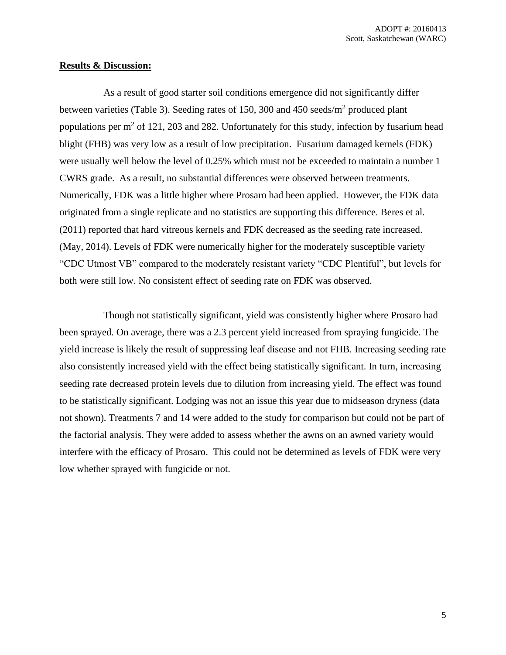#### **Results & Discussion:**

As a result of good starter soil conditions emergence did not significantly differ between varieties (Table 3). Seeding rates of 150, 300 and 450 seeds/m<sup>2</sup> produced plant populations per  $m<sup>2</sup>$  of 121, 203 and 282. Unfortunately for this study, infection by fusarium head blight (FHB) was very low as a result of low precipitation. Fusarium damaged kernels (FDK) were usually well below the level of 0.25% which must not be exceeded to maintain a number 1 CWRS grade. As a result, no substantial differences were observed between treatments. Numerically, FDK was a little higher where Prosaro had been applied. However, the FDK data originated from a single replicate and no statistics are supporting this difference. Beres et al. (2011) reported that hard vitreous kernels and FDK decreased as the seeding rate increased. (May, 2014). Levels of FDK were numerically higher for the moderately susceptible variety "CDC Utmost VB" compared to the moderately resistant variety "CDC Plentiful", but levels for both were still low. No consistent effect of seeding rate on FDK was observed.

Though not statistically significant, yield was consistently higher where Prosaro had been sprayed. On average, there was a 2.3 percent yield increased from spraying fungicide. The yield increase is likely the result of suppressing leaf disease and not FHB. Increasing seeding rate also consistently increased yield with the effect being statistically significant. In turn, increasing seeding rate decreased protein levels due to dilution from increasing yield. The effect was found to be statistically significant. Lodging was not an issue this year due to midseason dryness (data not shown). Treatments 7 and 14 were added to the study for comparison but could not be part of the factorial analysis. They were added to assess whether the awns on an awned variety would interfere with the efficacy of Prosaro. This could not be determined as levels of FDK were very low whether sprayed with fungicide or not.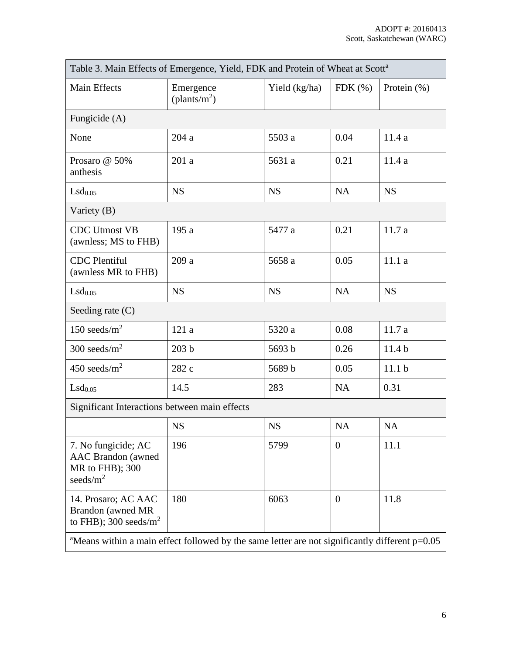| Table 3. Main Effects of Emergence, Yield, FDK and Protein of Wheat at Scott <sup>a</sup>                  |                                    |               |                |                   |  |  |
|------------------------------------------------------------------------------------------------------------|------------------------------------|---------------|----------------|-------------------|--|--|
| Main Effects                                                                                               | Emergence<br>$(\text{plants/m}^2)$ | Yield (kg/ha) | $FDK$ $(\%)$   | Protein $(\%)$    |  |  |
| Fungicide (A)                                                                                              |                                    |               |                |                   |  |  |
| None                                                                                                       | 204a                               | 5503 a        | 0.04           | 11.4a             |  |  |
| Prosaro @ 50%<br>anthesis                                                                                  | 201a                               | 5631 a        | 0.21           | 11.4a             |  |  |
| $LSd_{0.05}$                                                                                               | <b>NS</b>                          | <b>NS</b>     | <b>NA</b>      | <b>NS</b>         |  |  |
| Variety $(B)$                                                                                              |                                    |               |                |                   |  |  |
| <b>CDC Utmost VB</b><br>(awnless; MS to FHB)                                                               | 195a                               | 5477 a        | 0.21           | 11.7a             |  |  |
| <b>CDC</b> Plentiful<br>(awnless MR to FHB)                                                                | 209 a                              | 5658 a        | 0.05           | 11.1a             |  |  |
| $LSd_{0.05}$                                                                                               | <b>NS</b>                          | <b>NS</b>     | <b>NA</b>      | <b>NS</b>         |  |  |
| Seeding rate $(C)$                                                                                         |                                    |               |                |                   |  |  |
| 150 seeds/ $m2$                                                                                            | 121a                               | 5320 a        | 0.08           | 11.7a             |  |  |
| 300 seeds/ $m^2$                                                                                           | 203 <sub>b</sub>                   | 5693 b        | 0.26           | 11.4 <sub>b</sub> |  |  |
| 450 seeds/ $m^2$                                                                                           | 282 c                              | 5689 b        | 0.05           | 11.1 <sub>b</sub> |  |  |
| Lsd <sub>0.05</sub>                                                                                        | 14.5                               | 283           | <b>NA</b>      | 0.31              |  |  |
| Significant Interactions between main effects                                                              |                                    |               |                |                   |  |  |
|                                                                                                            | <b>NS</b>                          | <b>NS</b>     | <b>NA</b>      | <b>NA</b>         |  |  |
| 7. No fungicide; AC<br><b>AAC</b> Brandon (awned<br>MR to FHB); 300<br>seeds/ $m2$                         | 196                                | 5799          | $\theta$       | 11.1              |  |  |
| 14. Prosaro; AC AAC<br>Brandon (awned MR<br>to FHB); 300 seeds/ $m^2$                                      | 180                                | 6063          | $\overline{0}$ | 11.8              |  |  |
| <sup>a</sup> Means within a main effect followed by the same letter are not significantly different p=0.05 |                                    |               |                |                   |  |  |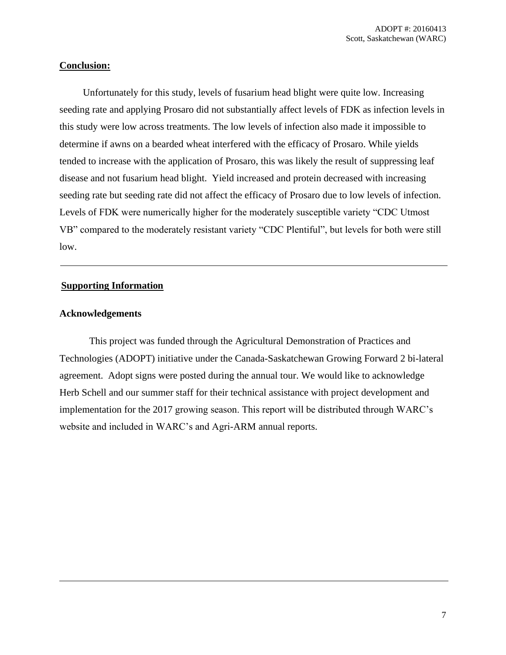## **Conclusion:**

Unfortunately for this study, levels of fusarium head blight were quite low. Increasing seeding rate and applying Prosaro did not substantially affect levels of FDK as infection levels in this study were low across treatments. The low levels of infection also made it impossible to determine if awns on a bearded wheat interfered with the efficacy of Prosaro. While yields tended to increase with the application of Prosaro, this was likely the result of suppressing leaf disease and not fusarium head blight. Yield increased and protein decreased with increasing seeding rate but seeding rate did not affect the efficacy of Prosaro due to low levels of infection. Levels of FDK were numerically higher for the moderately susceptible variety "CDC Utmost VB" compared to the moderately resistant variety "CDC Plentiful", but levels for both were still low.

## **Supporting Information**

### **Acknowledgements**

This project was funded through the Agricultural Demonstration of Practices and Technologies (ADOPT) initiative under the Canada-Saskatchewan Growing Forward 2 bi-lateral agreement. Adopt signs were posted during the annual tour. We would like to acknowledge Herb Schell and our summer staff for their technical assistance with project development and implementation for the 2017 growing season. This report will be distributed through WARC's website and included in WARC's and Agri-ARM annual reports.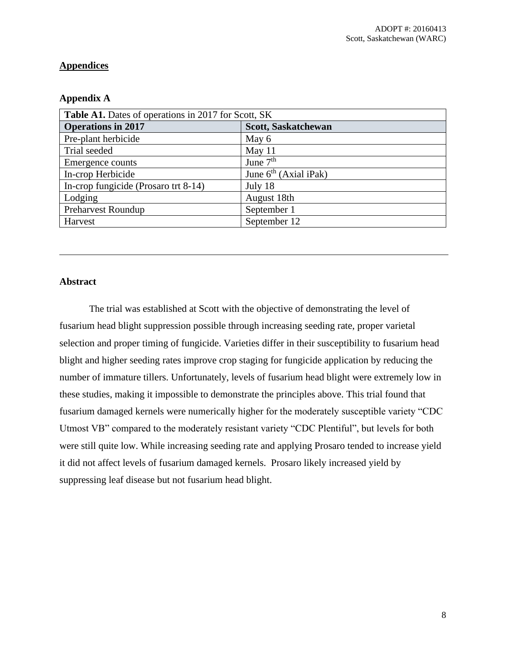# **Appendices**

## **Appendix A**

| Table A1. Dates of operations in 2017 for Scott, SK |                         |  |  |  |
|-----------------------------------------------------|-------------------------|--|--|--|
| <b>Operations in 2017</b>                           | Scott, Saskatchewan     |  |  |  |
| Pre-plant herbicide                                 | May 6                   |  |  |  |
| Trial seeded                                        | May 11                  |  |  |  |
| Emergence counts                                    | June $7th$              |  |  |  |
| In-crop Herbicide                                   | June $6th$ (Axial iPak) |  |  |  |
| In-crop fungicide (Prosaro trt 8-14)                | July 18                 |  |  |  |
| Lodging                                             | August 18th             |  |  |  |
| <b>Preharvest Roundup</b>                           | September 1             |  |  |  |
| Harvest                                             | September 12            |  |  |  |

## **Abstract**

The trial was established at Scott with the objective of demonstrating the level of fusarium head blight suppression possible through increasing seeding rate, proper varietal selection and proper timing of fungicide. Varieties differ in their susceptibility to fusarium head blight and higher seeding rates improve crop staging for fungicide application by reducing the number of immature tillers. Unfortunately, levels of fusarium head blight were extremely low in these studies, making it impossible to demonstrate the principles above. This trial found that fusarium damaged kernels were numerically higher for the moderately susceptible variety "CDC Utmost VB" compared to the moderately resistant variety "CDC Plentiful", but levels for both were still quite low. While increasing seeding rate and applying Prosaro tended to increase yield it did not affect levels of fusarium damaged kernels. Prosaro likely increased yield by suppressing leaf disease but not fusarium head blight.